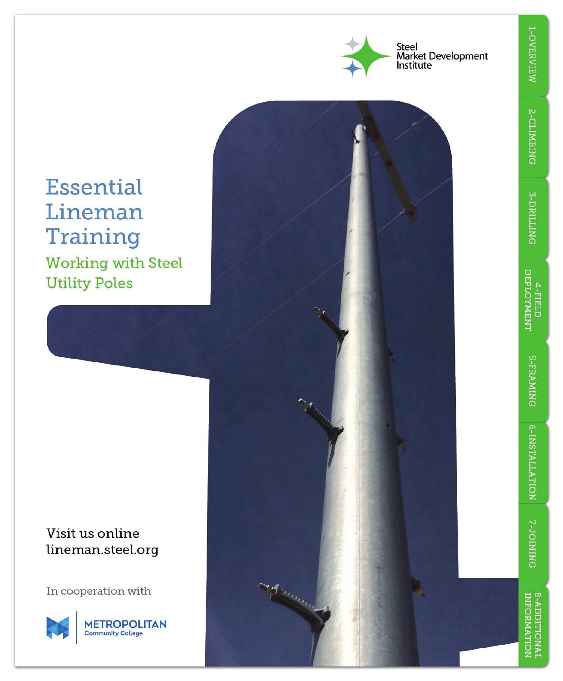

## **Essential** Lineman Training **Working with Steel**

**Utility Poles** 

## Visit us online lineman.steel.org

In cooperation with



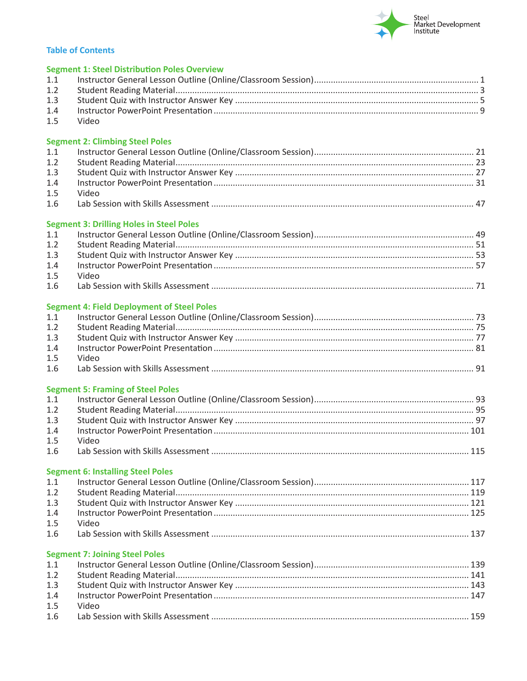

## **Table of Contents**

|            | <b>Segment 1: Steel Distribution Poles Overview</b> |  |
|------------|-----------------------------------------------------|--|
| 1.1        |                                                     |  |
| 1.2        |                                                     |  |
| 1.3        |                                                     |  |
| 1.4        |                                                     |  |
| 1.5        | Video                                               |  |
|            | <b>Segment 2: Climbing Steel Poles</b>              |  |
| 1.1        |                                                     |  |
| 1.2        |                                                     |  |
| 1.3        |                                                     |  |
| 1.4        |                                                     |  |
| 1.5        | Video                                               |  |
| 1.6        |                                                     |  |
|            | <b>Segment 3: Drilling Holes in Steel Poles</b>     |  |
| 1.1        |                                                     |  |
| 1.2        |                                                     |  |
| 1.3        |                                                     |  |
| 1.4        |                                                     |  |
| 1.5        | Video                                               |  |
| 1.6        |                                                     |  |
|            | <b>Segment 4: Field Deployment of Steel Poles</b>   |  |
| 1.1        |                                                     |  |
| 1.2        |                                                     |  |
| 1.3        |                                                     |  |
| 1.4<br>1.5 |                                                     |  |
| 1.6        | Video                                               |  |
|            |                                                     |  |
|            | <b>Segment 5: Framing of Steel Poles</b>            |  |
| 1.1        |                                                     |  |
| 1.2        |                                                     |  |
| 1.3        |                                                     |  |
| 1.4        |                                                     |  |
| 1.5        | Video                                               |  |
| 1.6        |                                                     |  |
|            | <b>Segment 6: Installing Steel Poles</b>            |  |
| 1.1        |                                                     |  |
| 1.2        |                                                     |  |
| 1.3        |                                                     |  |
| 1.4<br>1.5 | Video                                               |  |
| 1.6        |                                                     |  |
|            |                                                     |  |
|            | <b>Segment 7: Joining Steel Poles</b>               |  |
| 1.1<br>1.2 |                                                     |  |
| 1.3        |                                                     |  |
| 1.4        |                                                     |  |
| 1.5        | Video                                               |  |
| 1.6        |                                                     |  |
|            |                                                     |  |